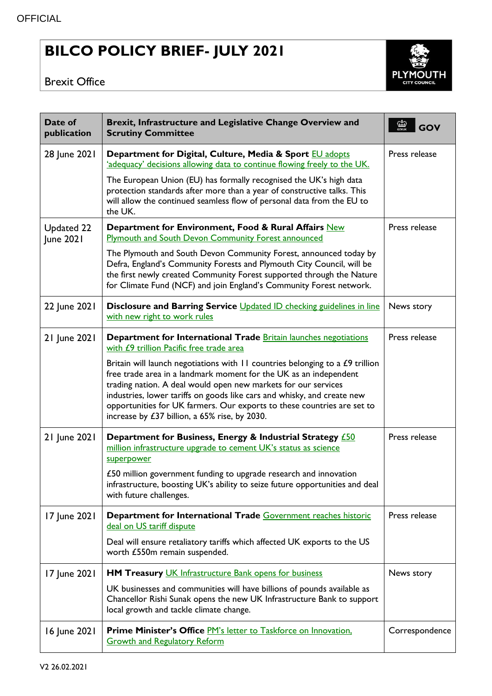## **BILCO POLICY BRIEF- JULY 2021**

## Brexit Office



| Date of<br>publication  | Brexit, Infrastructure and Legislative Change Overview and<br><b>Scrutiny Committee</b>                                                                                                                                                                                                                                                                                                                                         | $\overline{\omega}$<br>GOV |
|-------------------------|---------------------------------------------------------------------------------------------------------------------------------------------------------------------------------------------------------------------------------------------------------------------------------------------------------------------------------------------------------------------------------------------------------------------------------|----------------------------|
| 28 June 2021            | Department for Digital, Culture, Media & Sport EU adopts<br>'adequacy' decisions allowing data to continue flowing freely to the UK.                                                                                                                                                                                                                                                                                            | Press release              |
|                         | The European Union (EU) has formally recognised the UK's high data<br>protection standards after more than a year of constructive talks. This<br>will allow the continued seamless flow of personal data from the EU to<br>the UK.                                                                                                                                                                                              |                            |
| Updated 22<br>June 2021 | Department for Environment, Food & Rural Affairs New<br><b>Plymouth and South Devon Community Forest announced</b>                                                                                                                                                                                                                                                                                                              | Press release              |
|                         | The Plymouth and South Devon Community Forest, announced today by<br>Defra, England's Community Forests and Plymouth City Council, will be<br>the first newly created Community Forest supported through the Nature<br>for Climate Fund (NCF) and join England's Community Forest network.                                                                                                                                      |                            |
| 22 June 2021            | Disclosure and Barring Service Updated ID checking guidelines in line<br>with new right to work rules                                                                                                                                                                                                                                                                                                                           | News story                 |
| 21 June 2021            | Department for International Trade Britain launches negotiations<br>with £9 trillion Pacific free trade area                                                                                                                                                                                                                                                                                                                    | Press release              |
|                         | Britain will launch negotiations with $11$ countries belonging to a $£9$ trillion<br>free trade area in a landmark moment for the UK as an independent<br>trading nation. A deal would open new markets for our services<br>industries, lower tariffs on goods like cars and whisky, and create new<br>opportunities for UK farmers. Our exports to these countries are set to<br>increase by £37 billion, a 65% rise, by 2030. |                            |
| 21 June 2021            | Department for Business, Energy & Industrial Strategy <b>£50</b><br>million infrastructure upgrade to cement UK's status as science<br>superpower                                                                                                                                                                                                                                                                               | Press release              |
|                         | £50 million government funding to upgrade research and innovation<br>infrastructure, boosting UK's ability to seize future opportunities and deal<br>with future challenges.                                                                                                                                                                                                                                                    |                            |
| 17 June 2021            | Department for International Trade Government reaches historic<br>deal on US tariff dispute                                                                                                                                                                                                                                                                                                                                     | Press release              |
|                         | Deal will ensure retaliatory tariffs which affected UK exports to the US<br>worth £550m remain suspended.                                                                                                                                                                                                                                                                                                                       |                            |
| 17 June 2021            | HM Treasury UK Infrastructure Bank opens for business                                                                                                                                                                                                                                                                                                                                                                           | News story                 |
|                         | UK businesses and communities will have billions of pounds available as<br>Chancellor Rishi Sunak opens the new UK Infrastructure Bank to support<br>local growth and tackle climate change.                                                                                                                                                                                                                                    |                            |
| 16 June 2021            | Prime Minister's Office PM's letter to Taskforce on Innovation,<br><b>Growth and Regulatory Reform</b>                                                                                                                                                                                                                                                                                                                          | Correspondence             |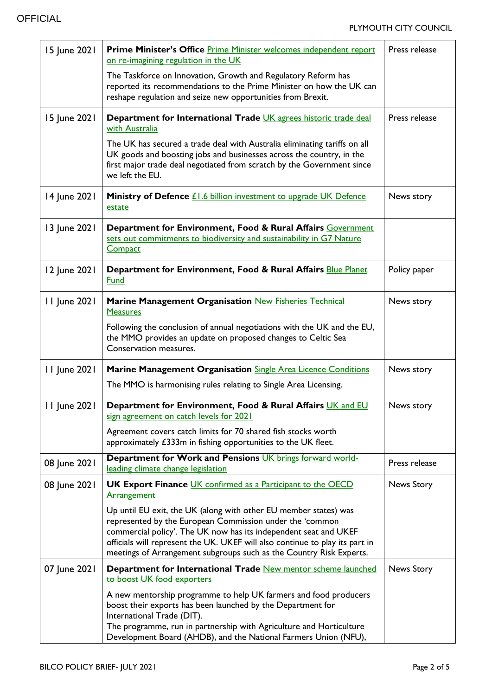| 15 June 2021 | Prime Minister's Office Prime Minister welcomes independent report<br>on re-imagining regulation in the UK                                                                                                                                                                                                                                              | Press release |
|--------------|---------------------------------------------------------------------------------------------------------------------------------------------------------------------------------------------------------------------------------------------------------------------------------------------------------------------------------------------------------|---------------|
|              | The Taskforce on Innovation, Growth and Regulatory Reform has<br>reported its recommendations to the Prime Minister on how the UK can<br>reshape regulation and seize new opportunities from Brexit.                                                                                                                                                    |               |
| 15 June 2021 | Department for International Trade UK agrees historic trade deal<br>with Australia                                                                                                                                                                                                                                                                      | Press release |
|              | The UK has secured a trade deal with Australia eliminating tariffs on all<br>UK goods and boosting jobs and businesses across the country, in the<br>first major trade deal negotiated from scratch by the Government since<br>we left the EU.                                                                                                          |               |
| 14 June 2021 | Ministry of Defence <i>£1.6</i> billion investment to upgrade UK Defence<br>estate                                                                                                                                                                                                                                                                      | News story    |
| 13 June 2021 | Department for Environment, Food & Rural Affairs Government<br>sets out commitments to biodiversity and sustainability in G7 Nature<br>Compact                                                                                                                                                                                                          |               |
| 12 June 2021 | Department for Environment, Food & Rural Affairs Blue Planet<br>Fund                                                                                                                                                                                                                                                                                    | Policy paper  |
| 11 June 2021 | <b>Marine Management Organisation New Fisheries Technical</b><br><b>Measures</b>                                                                                                                                                                                                                                                                        | News story    |
|              | Following the conclusion of annual negotiations with the UK and the EU,<br>the MMO provides an update on proposed changes to Celtic Sea<br>Conservation measures.                                                                                                                                                                                       |               |
| 11 June 2021 | <b>Marine Management Organisation Single Area Licence Conditions</b>                                                                                                                                                                                                                                                                                    | News story    |
|              | The MMO is harmonising rules relating to Single Area Licensing.                                                                                                                                                                                                                                                                                         |               |
| 11 June 2021 | Department for Environment, Food & Rural Affairs UK and EU<br>sign agreement on catch levels for 2021                                                                                                                                                                                                                                                   | News story    |
|              | Agreement covers catch limits for 70 shared fish stocks worth<br>approximately £333m in fishing opportunities to the UK fleet.                                                                                                                                                                                                                          |               |
| 08 June 2021 | Department for Work and Pensions UK brings forward world-<br>leading climate change legislation                                                                                                                                                                                                                                                         | Press release |
| 08 June 2021 | <b>UK Export Finance UK confirmed as a Participant to the OECD</b><br><b>Arrangement</b>                                                                                                                                                                                                                                                                | News Story    |
|              | Up until EU exit, the UK (along with other EU member states) was<br>represented by the European Commission under the 'common<br>commercial policy'. The UK now has its independent seat and UKEF<br>officials will represent the UK. UKEF will also continue to play its part in<br>meetings of Arrangement subgroups such as the Country Risk Experts. |               |
| 07 June 2021 | Department for International Trade New mentor scheme launched<br>to boost UK food exporters                                                                                                                                                                                                                                                             | News Story    |
|              | A new mentorship programme to help UK farmers and food producers<br>boost their exports has been launched by the Department for<br>International Trade (DIT).<br>The programme, run in partnership with Agriculture and Horticulture<br>Development Board (AHDB), and the National Farmers Union (NFU),                                                 |               |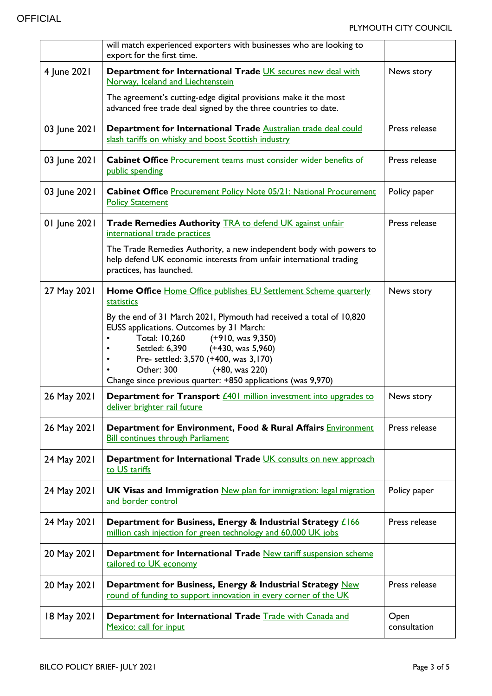|              | will match experienced exporters with businesses who are looking to<br>export for the first time.                                                                                                                                                                                                                                                                                                                     |                      |
|--------------|-----------------------------------------------------------------------------------------------------------------------------------------------------------------------------------------------------------------------------------------------------------------------------------------------------------------------------------------------------------------------------------------------------------------------|----------------------|
| 4 June 2021  | Department for International Trade UK secures new deal with<br>Norway, Iceland and Liechtenstein<br>The agreement's cutting-edge digital provisions make it the most<br>advanced free trade deal signed by the three countries to date.                                                                                                                                                                               | News story           |
| 03 June 2021 | Department for International Trade Australian trade deal could<br>slash tariffs on whisky and boost Scottish industry                                                                                                                                                                                                                                                                                                 | Press release        |
| 03 June 2021 | Cabinet Office Procurement teams must consider wider benefits of<br>public spending                                                                                                                                                                                                                                                                                                                                   | Press release        |
| 03 June 2021 | <b>Cabinet Office Procurement Policy Note 05/21: National Procurement</b><br><b>Policy Statement</b>                                                                                                                                                                                                                                                                                                                  | Policy paper         |
| 01 June 2021 | Trade Remedies Authority <b>TRA to defend UK against unfair</b><br>international trade practices<br>The Trade Remedies Authority, a new independent body with powers to<br>help defend UK economic interests from unfair international trading<br>practices, has launched.                                                                                                                                            | Press release        |
| 27 May 2021  | Home Office Home Office publishes EU Settlement Scheme quarterly<br>statistics<br>By the end of 31 March 2021, Plymouth had received a total of 10,820<br>EUSS applications. Outcomes by 31 March:<br>Total: 10,260<br>(+910, was 9,350)<br>Settled: 6,390 (+430, was 5,960)<br>Pre- settled: 3,570 (+400, was 3,170)<br>Other: 300<br>(+80, was 220)<br>Change since previous quarter: +850 applications (was 9,970) | News story           |
| 26 May 2021  | <b>Department for Transport </b> <u>£401 million investment into upgrades to</u><br>deliver brighter rail future                                                                                                                                                                                                                                                                                                      | News story           |
| 26 May 2021  | Department for Environment, Food & Rural Affairs Environment<br><b>Bill continues through Parliament</b>                                                                                                                                                                                                                                                                                                              | Press release        |
| 24 May 2021  | Department for International Trade UK consults on new approach<br>to US tariffs                                                                                                                                                                                                                                                                                                                                       |                      |
| 24 May 2021  | <b>UK Visas and Immigration New plan for immigration: legal migration</b><br>and border control                                                                                                                                                                                                                                                                                                                       | Policy paper         |
| 24 May 2021  | Department for Business, Energy & Industrial Strategy £166<br>million cash injection for green technology and 60,000 UK jobs                                                                                                                                                                                                                                                                                          | Press release        |
| 20 May 2021  | Department for International Trade New tariff suspension scheme<br>tailored to UK economy                                                                                                                                                                                                                                                                                                                             |                      |
| 20 May 2021  | Department for Business, Energy & Industrial Strategy New<br>round of funding to support innovation in every corner of the UK                                                                                                                                                                                                                                                                                         | Press release        |
| 18 May 2021  | Department for International Trade Trade with Canada and<br>Mexico: call for input                                                                                                                                                                                                                                                                                                                                    | Open<br>consultation |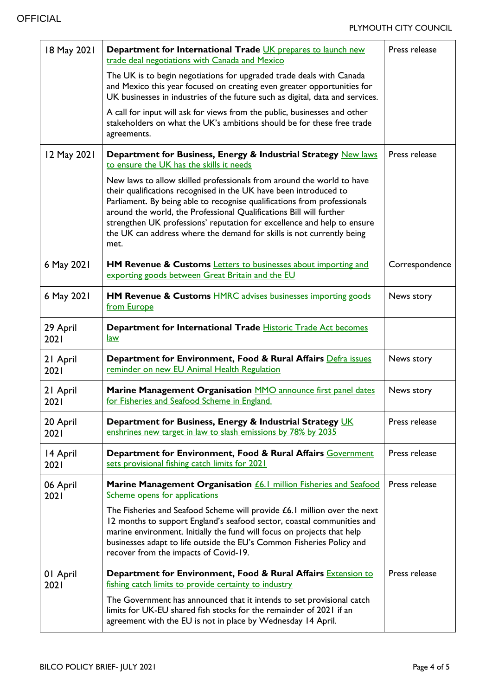| 18 May 2021      | Department for International Trade UK prepares to launch new<br>trade deal negotiations with Canada and Mexico                                                                                                                                                                                                                                                                                                                                            | Press release  |
|------------------|-----------------------------------------------------------------------------------------------------------------------------------------------------------------------------------------------------------------------------------------------------------------------------------------------------------------------------------------------------------------------------------------------------------------------------------------------------------|----------------|
|                  | The UK is to begin negotiations for upgraded trade deals with Canada<br>and Mexico this year focused on creating even greater opportunities for<br>UK businesses in industries of the future such as digital, data and services.                                                                                                                                                                                                                          |                |
|                  | A call for input will ask for views from the public, businesses and other<br>stakeholders on what the UK's ambitions should be for these free trade<br>agreements.                                                                                                                                                                                                                                                                                        |                |
| 12 May 2021      | Department for Business, Energy & Industrial Strategy New laws<br>to ensure the UK has the skills it needs                                                                                                                                                                                                                                                                                                                                                | Press release  |
|                  | New laws to allow skilled professionals from around the world to have<br>their qualifications recognised in the UK have been introduced to<br>Parliament. By being able to recognise qualifications from professionals<br>around the world, the Professional Qualifications Bill will further<br>strengthen UK professions' reputation for excellence and help to ensure<br>the UK can address where the demand for skills is not currently being<br>met. |                |
| 6 May 2021       | <b>HM Revenue &amp; Customs <i>Letters to businesses about importing and</i></b><br>exporting goods between Great Britain and the EU                                                                                                                                                                                                                                                                                                                      | Correspondence |
| 6 May 2021       | <b>HM Revenue &amp; Customs HMRC advises businesses importing goods</b><br>from Europe                                                                                                                                                                                                                                                                                                                                                                    | News story     |
| 29 April<br>2021 | Department for International Trade Historic Trade Act becomes<br><u>law</u>                                                                                                                                                                                                                                                                                                                                                                               |                |
| 21 April<br>2021 | Department for Environment, Food & Rural Affairs Defra issues<br>reminder on new EU Animal Health Regulation                                                                                                                                                                                                                                                                                                                                              | News story     |
| 21 April<br>2021 | Marine Management Organisation MMO announce first panel dates<br>for Fisheries and Seafood Scheme in England.                                                                                                                                                                                                                                                                                                                                             | News story     |
| 20 April<br>2021 | Department for Business, Energy & Industrial Strategy UK<br>enshrines new target in law to slash emissions by 78% by 2035                                                                                                                                                                                                                                                                                                                                 | Press release  |
| 14 April<br>2021 | Department for Environment, Food & Rural Affairs Government<br>sets provisional fishing catch limits for 2021                                                                                                                                                                                                                                                                                                                                             | Press release  |
| 06 April<br>2021 | Marine Management Organisation <i>£6.1</i> million Fisheries and Seafood<br>Scheme opens for applications                                                                                                                                                                                                                                                                                                                                                 | Press release  |
|                  | The Fisheries and Seafood Scheme will provide £6.1 million over the next<br>12 months to support England's seafood sector, coastal communities and<br>marine environment. Initially the fund will focus on projects that help<br>businesses adapt to life outside the EU's Common Fisheries Policy and<br>recover from the impacts of Covid-19.                                                                                                           |                |
| 01 April<br>2021 | Department for Environment, Food & Rural Affairs Extension to<br>fishing catch limits to provide certainty to industry                                                                                                                                                                                                                                                                                                                                    | Press release  |
|                  | The Government has announced that it intends to set provisional catch<br>limits for UK-EU shared fish stocks for the remainder of 2021 if an<br>agreement with the EU is not in place by Wednesday 14 April.                                                                                                                                                                                                                                              |                |